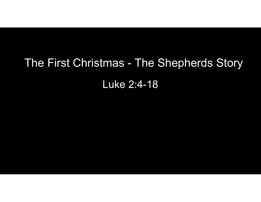## The First Christmas - The Shepherds Story<br>Luke 2:4-18 Luke 2:4-18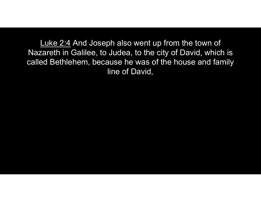<u>Luke 2:4</u> And Joseph also went up from the town of<br>zareth in Galilee, to Judea, to the city of David, which is<br>ed Bethlehem, because he was of the house and family Nazareth in Galilee, to Judea, to the city of David, which is called Bethlehem, because he was of the house and family line of David,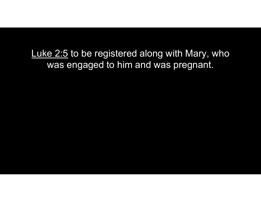Luke 2:5 to be registered along with Mary, who<br>was engaged to him and was pregnant. was engaged to him and was pregnant.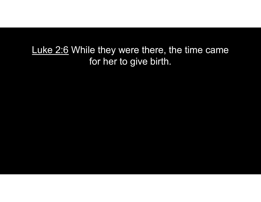Luke 2:6 While they were there, the time came<br>for her to give birth. for her to give birth.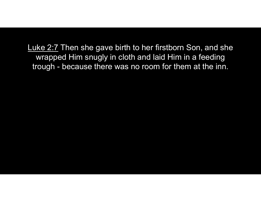Luke 2:7 Then she gave birth to her firstborn Son, and she<br>wrapped Him snugly in cloth and laid Him in a feeding<br>trough - because there was no room for them at the inn. wrapped Him snugly in cloth and laid Him in a feeding uke 2:7 Then she gave birth to her firstborn Son, and sh<br>wrapped Him snugly in cloth and laid Him in a feeding<br>trough - because there was no room for them at the inn.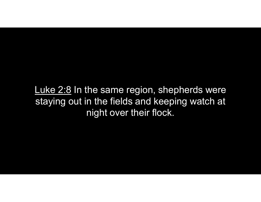Luke 2:8 In the same region, shepherds were<br>staying out in the fields and keeping watch at<br>pight over their flock staying out in the fields and keeping watch at night over their flock.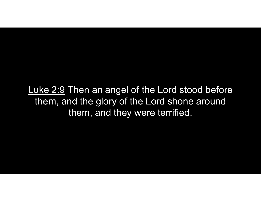Luke 2:9 Then an angel of the Lord stood before<br>them, and the glory of the Lord shone around<br>them, and they were terrified them, and the glory of the Lord shone around them, and they were terrified.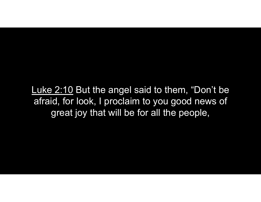Luke 2:10 But the angel said to them, "Don't be<br>afraid, for look, I proclaim to you good news of<br>creat joy that will be for all the people afraid, for look, I proclaim to you good news of great joy that will be for all the people,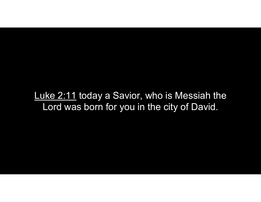Luke 2:11 today a Savior, who is Messiah the<br>Luke 2:11 today a Savior, who is Messiah the<br>Lord was born for you in the city of David. Lord was born for you in the city of David.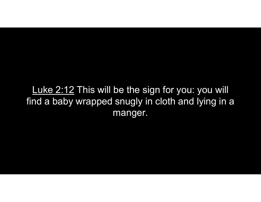Luke 2:12 This will be the sign for you: you will<br>nd a baby wrapped snugly in cloth and lying in a find a baby wrapped snugly in cloth and lying in a manger.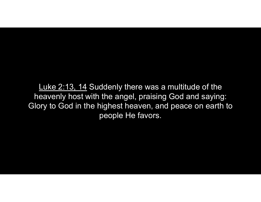Luke 2:13, 14 Suddenly there was a multitude of the<br>eavenly host with the angel, praising God and saying:<br>pry to God in the highest heaven, and peace on earth to heavenly host with the angel, praising God and saying: Glory to God in the highest heaven, and peace on earth to people He favors.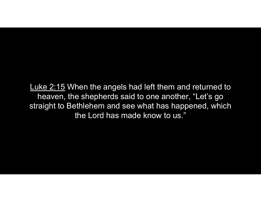Luke 2:15 When the angels had left them and returned to<br>heaven, the shepherds said to one another, "Let's go<br>straight to Bethlehem and see what has happened, which heaven, the shepherds said to one another, "Let's go straight to Bethlehem and see what has happened, which the Lord has made know to us."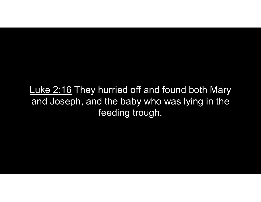Luke 2:16 They hurried off and found both Mary<br>and Joseph, and the baby who was lying in the and Joseph, and the baby who was lying in the feeding trough.